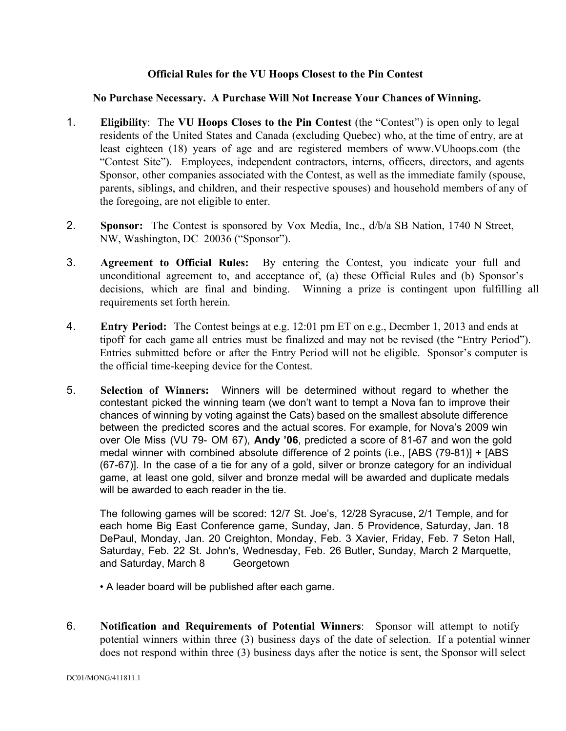## **Official Rules for the VU Hoops Closest to the Pin Contest**

## **No Purchase Necessary. A Purchase Will Not Increase Your Chances of Winning.**

- 1. **Eligibility**: The **VU Hoops Closes to the Pin Contest** (the "Contest") is open only to legal residents of the United States and Canada (excluding Quebec) who, at the time of entry, are at least eighteen (18) years of age and are registered members of www.VUhoops.com (the "Contest Site"). Employees, independent contractors, interns, officers, directors, and agents Sponsor, other companies associated with the Contest, as well as the immediate family (spouse, parents, siblings, and children, and their respective spouses) and household members of any of the foregoing, are not eligible to enter.
- 2. **Sponsor:** The Contest is sponsored by Vox Media, Inc., d/b/a SB Nation, 1740 N Street, NW, Washington, DC 20036 ("Sponsor").
- 3. **Agreement to Official Rules:** By entering the Contest, you indicate your full and unconditional agreement to, and acceptance of, (a) these Official Rules and (b) Sponsor's decisions, which are final and binding. Winning a prize is contingent upon fulfilling all requirements set forth herein.
- 4. **Entry Period:** The Contest beings at e.g. 12:01 pm ET on e.g., Decmber 1, 2013 and ends at tipoff for each game all entries must be finalized and may not be revised (the "Entry Period"). Entries submitted before or after the Entry Period will not be eligible. Sponsor's computer is the official timekeeping device for the Contest.
- 5. **Selection of Winners:** Winners will be determined without regard to whether the contestant picked the winning team (we don't want to tempt a Nova fan to improve their chances of winning by voting against the Cats) based on the smallest absolute difference between the predicted scores and the actual scores. For example, for Nova's 2009 win over Ole Miss (VU 79- OM 67), **Andy '06**, predicted a score of 81-67 and won the gold medal winner with combined absolute difference of 2 points (i.e.,  $[ABS (79-81)] + [ABS$  $(67-67)$ ]. In the case of a tie for any of a gold, silver or bronze category for an individual game, at least one gold, silver and bronze medal will be awarded and duplicate medals will be awarded to each reader in the tie.

The following games will be scored: 12/7 St. Joe's, 12/28 Syracuse, 2/1 Temple, and for each home Big East Conference game, Sunday, Jan. 5 Providence, Saturday, Jan. 18 DePaul, Monday, Jan. 20 Creighton, Monday, Feb. 3 Xavier, Friday, Feb. 7 Seton Hall, Saturday, Feb. 22 St. John's, Wednesday, Feb. 26 Butler, Sunday, March 2 Marquette, and Saturday, March 8 Georgetown

• A leader board will be published after each game.

6. **Notification and Requirements of Potential Winners**: Sponsor will attempt to notify potential winners within three (3) business days of the date of selection. If a potential winner does not respond within three (3) business days after the notice is sent, the Sponsor will select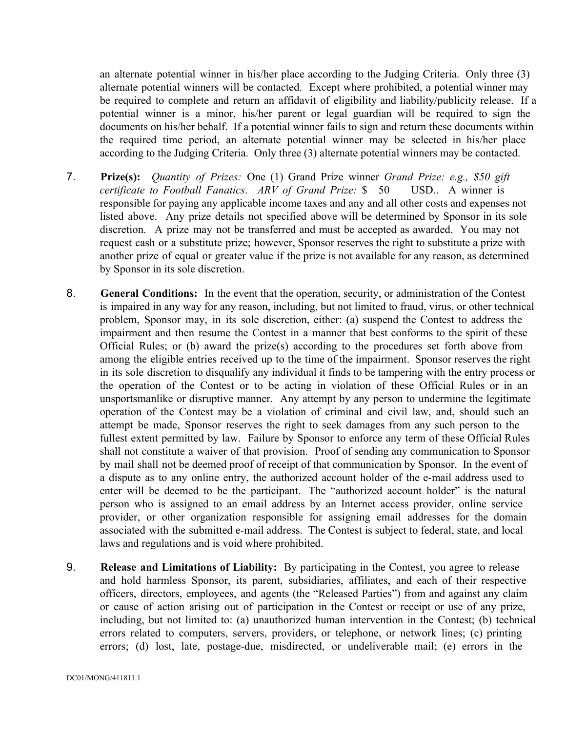an alternate potential winner in his/her place according to the Judging Criteria. Only three (3) alternate potential winners will be contacted. Except where prohibited, a potential winner may be required to complete and return an affidavit of eligibility and liability/publicity release. If a potential winner is a minor, his/her parent or legal guardian will be required to sign the documents on his/her behalf. If a potential winner fails to sign and return these documents within the required time period, an alternate potential winner may be selected in his/her place according to the Judging Criteria. Only three (3) alternate potential winners may be contacted.

- 7. **Prize(s):** *Quantity of Prizes:* One (1) Grand Prize winner *Grand Prize: e.g., \$50 gift certificate to Football Fanatics*. *ARV of Grand Prize:* \$ 50 USD.. A winner is responsible for paying any applicable income taxes and any and all other costs and expenses not listed above. Any prize details not specified above will be determined by Sponsor in its sole discretion. A prize may not be transferred and must be accepted as awarded. You may not request cash or a substitute prize; however, Sponsor reserves the right to substitute a prize with another prize of equal or greater value if the prize is not available for any reason, as determined by Sponsor in its sole discretion.
- 8. **General Conditions:** In the event that the operation, security, or administration of the Contest is impaired in any way for any reason, including, but not limited to fraud, virus, or other technical problem, Sponsor may, in its sole discretion, either: (a) suspend the Contest to address the impairment and then resume the Contest in a manner that best conforms to the spirit of these Official Rules; or (b) award the prize(s) according to the procedures set forth above from among the eligible entries received up to the time of the impairment. Sponsor reserves the right in its sole discretion to disqualify any individual it finds to be tampering with the entry process or the operation of the Contest or to be acting in violation of these Official Rules or in an unsportsmanlike or disruptive manner. Any attempt by any person to undermine the legitimate operation of the Contest may be a violation of criminal and civil law, and, should such an attempt be made, Sponsor reserves the right to seek damages from any such person to the fullest extent permitted by law. Failure by Sponsor to enforce any term of these Official Rules shall not constitute a waiver of that provision. Proof of sending any communication to Sponsor by mail shall not be deemed proof of receipt of that communication by Sponsor. In the event of a dispute as to any online entry, the authorized account holder of the email address used to enter will be deemed to be the participant. The "authorized account holder" is the natural person who is assigned to an email address by an Internet access provider, online service provider, or other organization responsible for assigning email addresses for the domain associated with the submitted e-mail address. The Contest is subject to federal, state, and local laws and regulations and is void where prohibited.
- 9. **Release and Limitations of Liability:** By participating in the Contest, you agree to release and hold harmless Sponsor, its parent, subsidiaries, affiliates, and each of their respective officers, directors, employees, and agents (the "Released Parties") from and against any claim or cause of action arising out of participation in the Contest or receipt or use of any prize, including, but not limited to: (a) unauthorized human intervention in the Contest; (b) technical errors related to computers, servers, providers, or telephone, or network lines; (c) printing errors; (d) lost, late, postage-due, misdirected, or undeliverable mail; (e) errors in the